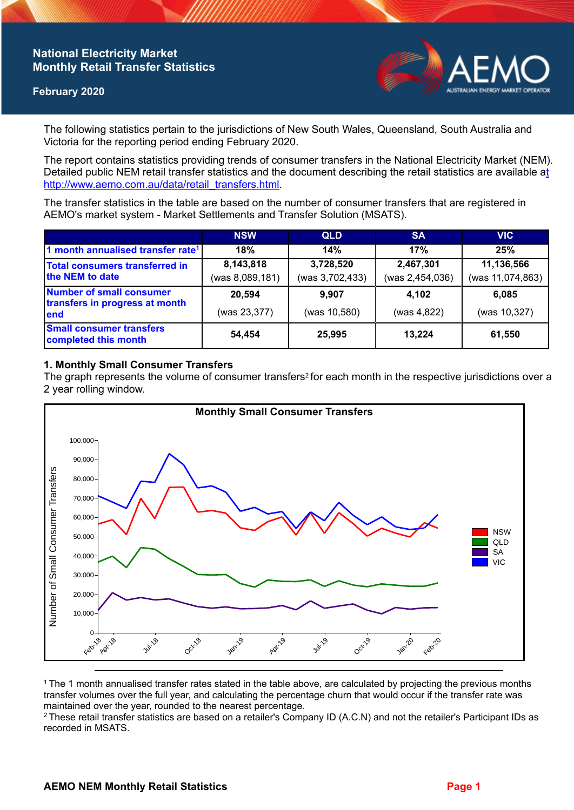# **National Electricity Market Monthly Retail Transfer Statistics**

### **February 2020**



The following statistics pertain to the jurisdictions of New South Wales, Queensland, South Australia and Victoria for the reporting period ending February 2020.

The report contains statistics providing trends of consumer transfers in the National Electricity Market (NEM). Detailed public NEM retail transfer statistics and the document describing the retail statistics are available a[t](http://www.aemo.com.au/data/retail_transfers.html)  http://www.aemo.com.au/data/retail\_transfers.html

The transfer statistics in the table are based on the number of consumer transfers that are registered in AEMO's market system - Market Settlements and Transfer Solution (MSATS).

|                                                                    | <b>NSW</b>                   | <b>QLD</b>                   | <b>SA</b>                    | <b>VIC</b>                     |
|--------------------------------------------------------------------|------------------------------|------------------------------|------------------------------|--------------------------------|
| 1 month annualised transfer rate <sup>1</sup>                      | 18%                          | 14%                          | 17%                          | 25%                            |
| Total consumers transferred in<br>the NEM to date                  | 8,143,818<br>(was 8,089,181) | 3,728,520<br>(was 3,702,433) | 2,467,301<br>(was 2,454,036) | 11,136,566<br>(was 11,074,863) |
| Number of small consumer<br>transfers in progress at month<br>lend | 20,594<br>(was 23,377)       | 9.907<br>(was 10,580)        | 4,102<br>(was 4,822)         | 6,085<br>(was 10,327)          |
| <b>Small consumer transfers</b><br>completed this month            | 54,454                       | 25,995                       | 13.224                       | 61,550                         |

## **1. Monthly Small Consumer Transfers**

The graph represents the volume of consumer transfers<sup>2</sup> for each month in the respective jurisdictions over a 2 year rolling window.



<sup>1</sup>The 1 month annualised transfer rates stated in the table above, are calculated by projecting the previous months transfer volumes over the full year, and calculating the percentage churn that would occur if the transfer rate was maintained over the year, rounded to the nearest percentage.

<sup>2</sup> These retail transfer statistics are based on a retailer's Company ID (A.C.N) and not the retailer's Participant IDs as recorded in MSATS.